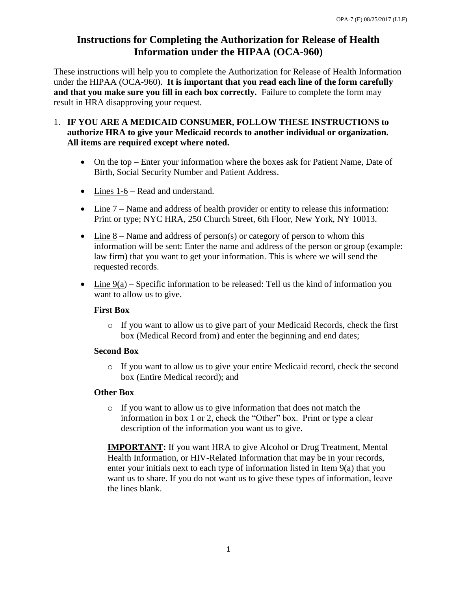# **Instructions for Completing the Authorization for Release of Health Information under the HIPAA (OCA-960)**

These instructions will help you to complete the Authorization for Release of Health Information under the HIPAA (OCA-960). **It is important that you read each line of the form carefully and that you make sure you fill in each box correctly.** Failure to complete the form may result in HRA disapproving your request.

- 1. **IF YOU ARE A MEDICAID CONSUMER, FOLLOW THESE INSTRUCTIONS to authorize HRA to give your Medicaid records to another individual or organization. All items are required except where noted.** 
	- On the top Enter your information where the boxes ask for Patient Name, Date of Birth, Social Security Number and Patient Address.
	- Lines 1-6 Read and understand.
	- Line 7 Name and address of health provider or entity to release this information: Print or type; NYC HRA, 250 Church Street, 6th Floor, New York, NY 10013.
	- $\bullet$  Line 8 Name and address of person(s) or category of person to whom this information will be sent: Enter the name and address of the person or group (example: law firm) that you want to get your information. This is where we will send the requested records.
	- Line  $9(a)$  Specific information to be released: Tell us the kind of information you want to allow us to give.

### **First Box**

o If you want to allow us to give part of your Medicaid Records, check the first box (Medical Record from) and enter the beginning and end dates;

### **Second Box**

o If you want to allow us to give your entire Medicaid record, check the second box (Entire Medical record); and

## **Other Box**

o If you want to allow us to give information that does not match the information in box 1 or 2, check the "Other" box. Print or type a clear description of the information you want us to give.

**IMPORTANT:** If you want HRA to give Alcohol or Drug Treatment, Mental Health Information, or HIV-Related Information that may be in your records, enter your initials next to each type of information listed in Item 9(a) that you want us to share. If you do not want us to give these types of information, leave the lines blank.